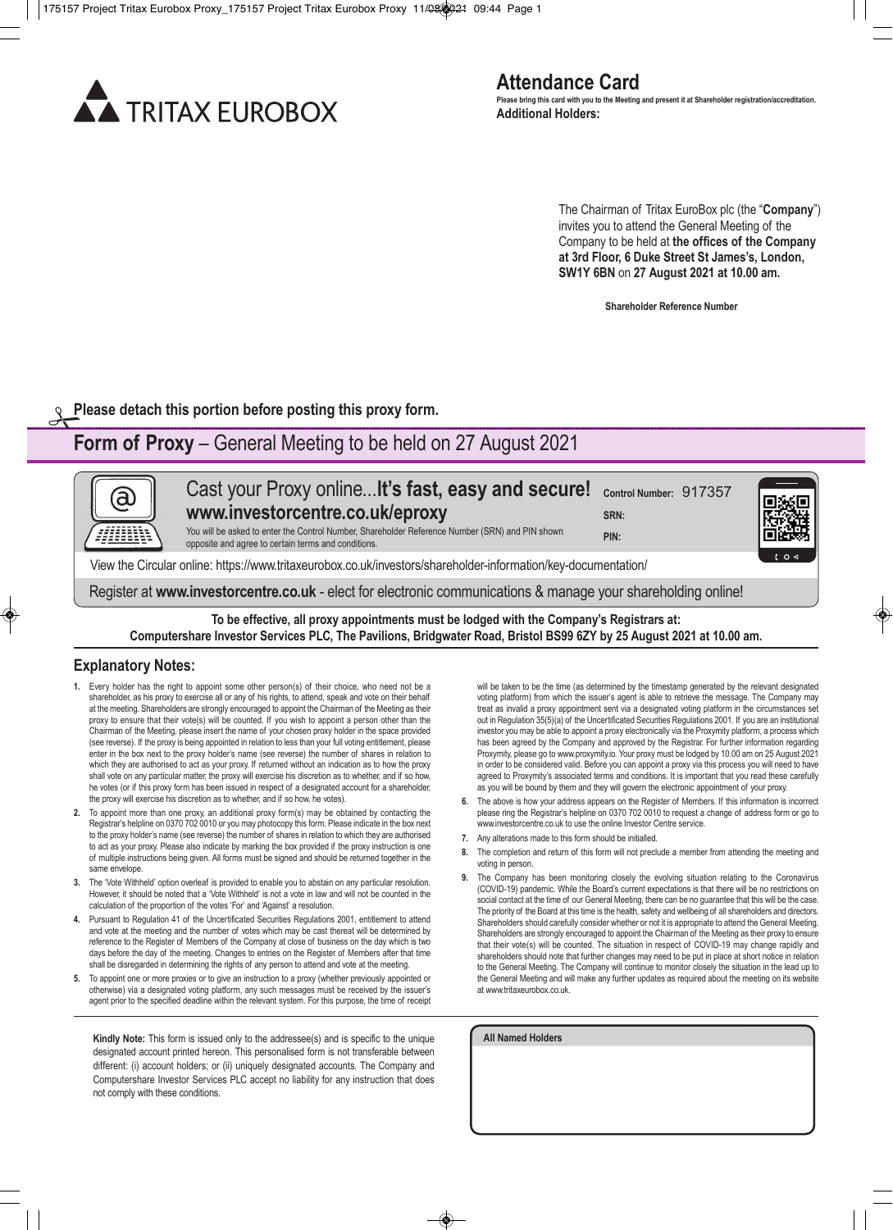

The Chairman of Tritax EuroBox plc (the "**Company**") invites you to attend the General Meeting of the Company to be held at **the offices of the Company at 3rd Floor, 6 Duke Street St James's, London, SW1Y 6BN** on **27 August 2021 at 10.00 am.**

**Shareholder Reference Number**

**Please detach this portion before posting this proxy form.** 

## **Form of Proxy** – General Meeting to be held on 27 August 2021

Cast your Proxy online...**lt's fast, easy and secure! Control Number:** 917357 (a) **www.investorcentre.co.uk/eproxy SRN:**  You will be asked to enter the Control Number, Shareholder Reference Number (SRN) and PIN shown **PIN:** opposite and agree to certain terms and conditions. View the Circular online: https://www.tritaxeurobox.co.uk/investors/shareholder-information/key-documentation/ Register at **www.investorcentre.co.uk** - elect for electronic communications & manage your shareholding online!

**To be effective, all proxy appointments must be lodged with the Company's Registrars at: Computershare Investor Services PLC, The Pavilions, Bridgwater Road, Bristol BS99 6ZY by 25 August 2021 at 10.00 am.**

### **Explanatory Notes:**

- **1.** Every holder has the right to appoint some other person(s) of their choice, who need not be a shareholder, as his proxy to exercise all or any of his rights, to attend, speak and vote on their behalf at the meeting. Shareholders are strongly encouraged to appoint the Chairman of the Meeting as their proxy to ensure that their vote(s) will be counted. If you wish to appoint a person other than the Chairman of the Meeting, please insert the name of your chosen proxy holder in the space provided (see reverse). If the proxy is being appointed in relation to less than your full voting entitlement, please enter in the box next to the proxy holder's name (see reverse) the number of shares in relation to which they are authorised to act as your proxy. If returned without an indication as to how the proxy shall vote on any particular matter, the proxy will exercise his discretion as to whether, and if so how, he votes (or if this proxy form has been issued in respect of a designated account for a shareholder, the proxy will exercise his discretion as to whether, and if so how, he votes).
- **2.** To appoint more than one proxy, an additional proxy form(s) may be obtained by contacting the Registrar's helpline on 0370 702 0010 or you may photocopy this form. Please indicate in the box next to the proxy holder's name (see reverse) the number of shares in relation to which they are authorised to act as your proxy. Please also indicate by marking the box provided if the proxy instruction is one of multiple instructions being given. All forms must be signed and should be returned together in the same envelope.
- **3.** The 'Vote Withheld' option overleaf is provided to enable you to abstain on any particular resolution. However, it should be noted that a 'Vote Withheld' is not a vote in law and will not be counted in the calculation of the proportion of the votes 'For' and 'Against' a resolution.
- **4.** Pursuant to Regulation 41 of the Uncertificated Securities Regulations 2001, entitlement to attend and vote at the meeting and the number of votes which may be cast thereat will be determined by reference to the Register of Members of the Company at close of business on the day which is two days before the day of the meeting. Changes to entries on the Register of Members after that time shall be disregarded in determining the rights of any person to attend and vote at the meeting.
- **5.** To appoint one or more proxies or to give an instruction to a proxy (whether previously appointed or otherwise) via a designated voting platform, any such messages must be received by the issuer's agent prior to the specified deadline within the relevant system. For this purpose, the time of receipt

**Kindly Note:** This form is issued only to the addressee(s) and is specific to the unique designated account printed hereon. This personalised form is not transferable between different: (i) account holders; or (ii) uniquely designated accounts. The Company and Computershare Investor Services PLC accept no liability for any instruction that does not comply with these conditions.

will be taken to be the time (as determined by the timestamp generated by the relevant designated voting platform) from which the issuer's agent is able to retrieve the message. The Company may treat as invalid a proxy appointment sent via a designated voting platform in the circumstances set out in Regulation 35(5)(a) of the Uncertificated Securities Regulations 2001. If you are an institutional investor you may be able to appoint a proxy electronically via the Proxymity platform, a process which has been agreed by the Company and approved by the Registrar. For further information regarding Proxymity, please go to www.proxymity.io. Your proxy must be lodged by 10.00 am on 25 August 2021 in order to be considered valid. Before you can appoint a proxy via this process you will need to have agreed to Proxymity's associated terms and conditions. It is important that you read these carefully as you will be bound by them and they will govern the electronic appointment of your proxy.

- **6.** The above is how your address appears on the Register of Members. If this information is incorrect please ring the Registrar's helpline on 0370 702 0010 to request a change of address form or go to www.investorcentre.co.uk to use the online Investor Centre service.
- **7.** Any alterations made to this form should be initialled.
- **8.** The completion and return of this form will not preclude a member from attending the meeting and voting in person.
- **9.** The Company has been monitoring closely the evolving situation relating to the Coronavirus (COVID-19) pandemic. While the Board's current expectations is that there will be no restrictions on social contact at the time of our General Meeting, there can be no guarantee that this will be the case. The priority of the Board at this time is the health, safety and wellbeing of all shareholders and directors. Shareholders should carefully consider whether or not it is appropriate to attend the General Meeting. Shareholders are strongly encouraged to appoint the Chairman of the Meeting as their proxy to ensure that their vote(s) will be counted. The situation in respect of COVID-19 may change rapidly and shareholders should note that further changes may need to be put in place at short notice in relation to the General Meeting. The Company will continue to monitor closely the situation in the lead up to the General Meeting and will make any further updates as required about the meeting on its website at www.tritaxeurobox.co.uk.

**All Named Holders**